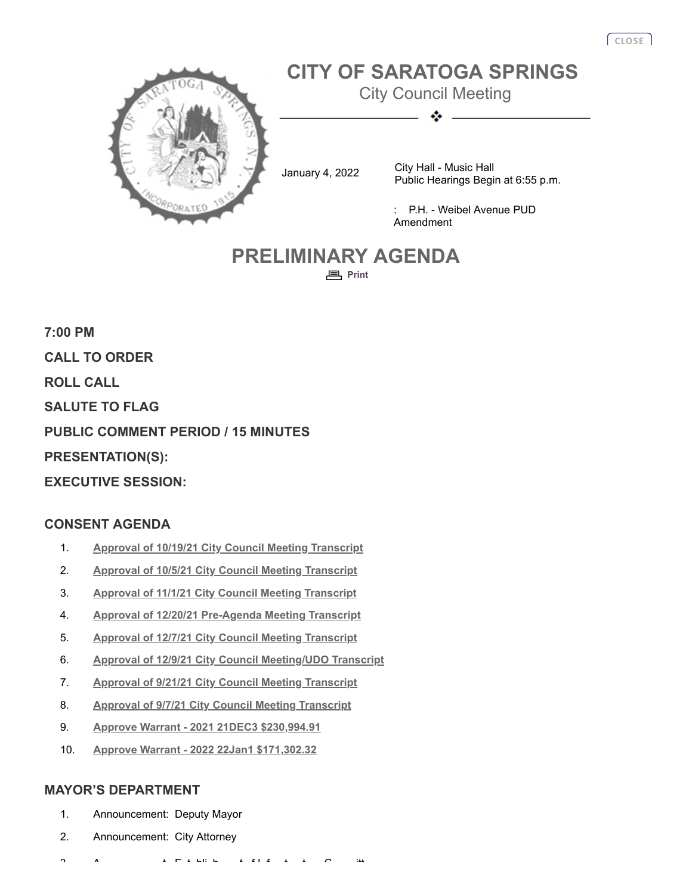

# **PRELIMINARY AGENDA <sub>巨</sub>** [Print](javascript:history.go(0);)

**7:00 PM CALL TO ORDER ROLL CALL SALUTE TO FLAG PUBLIC COMMENT PERIOD / 15 MINUTES PRESENTATION(S): EXECUTIVE SESSION:**

# **CONSENT AGENDA**

- 1. **[Approval of 10/19/21 City Council Meeting Transcript](http://agenda.saratoga-springs.org/agendainternal/Bluesheet.aspx?ItemID=18252&MeetingID=1551)**
- 2. **[Approval of 10/5/21 City Council Meeting Transcript](http://agenda.saratoga-springs.org/agendainternal/Bluesheet.aspx?ItemID=18251&MeetingID=1551)**
- 3. **[Approval of 11/1/21 City Council Meeting Transcript](http://agenda.saratoga-springs.org/agendainternal/Bluesheet.aspx?ItemID=18253&MeetingID=1551)**
- 4. **[Approval of 12/20/21 Pre-Agenda Meeting Transcript](http://agenda.saratoga-springs.org/agendainternal/Bluesheet.aspx?ItemID=18256&MeetingID=1551)**
- 5. **[Approval of 12/7/21 City Council Meeting Transcript](http://agenda.saratoga-springs.org/agendainternal/Bluesheet.aspx?ItemID=18255&MeetingID=1551)**
- 6. **[Approval of 12/9/21 City Council Meeting/UDO Transcript](http://agenda.saratoga-springs.org/agendainternal/Bluesheet.aspx?ItemID=18254&MeetingID=1551)**
- 7. **[Approval of 9/21/21 City Council Meeting Transcript](http://agenda.saratoga-springs.org/agendainternal/Bluesheet.aspx?ItemID=18250&MeetingID=1551)**
- 8. **[Approval of 9/7/21 City Council Meeting Transcript](http://agenda.saratoga-springs.org/agendainternal/Bluesheet.aspx?ItemID=18249&MeetingID=1551)**
- 9. **[Approve Warrant 2021 21DEC3 \\$230,994.91](http://agenda.saratoga-springs.org/agendainternal/Bluesheet.aspx?ItemID=18246&MeetingID=1551)**
- 10. **[Approve Warrant 2022 22Jan1 \\$171,302.32](http://agenda.saratoga-springs.org/agendainternal/Bluesheet.aspx?ItemID=18245&MeetingID=1551)**

#### **MAYOR'S DEPARTMENT**

- 1. Announcement: Deputy Mayor
- 2. Announcement: City Attorney
- 3 A t F t bli h t f t t C itt